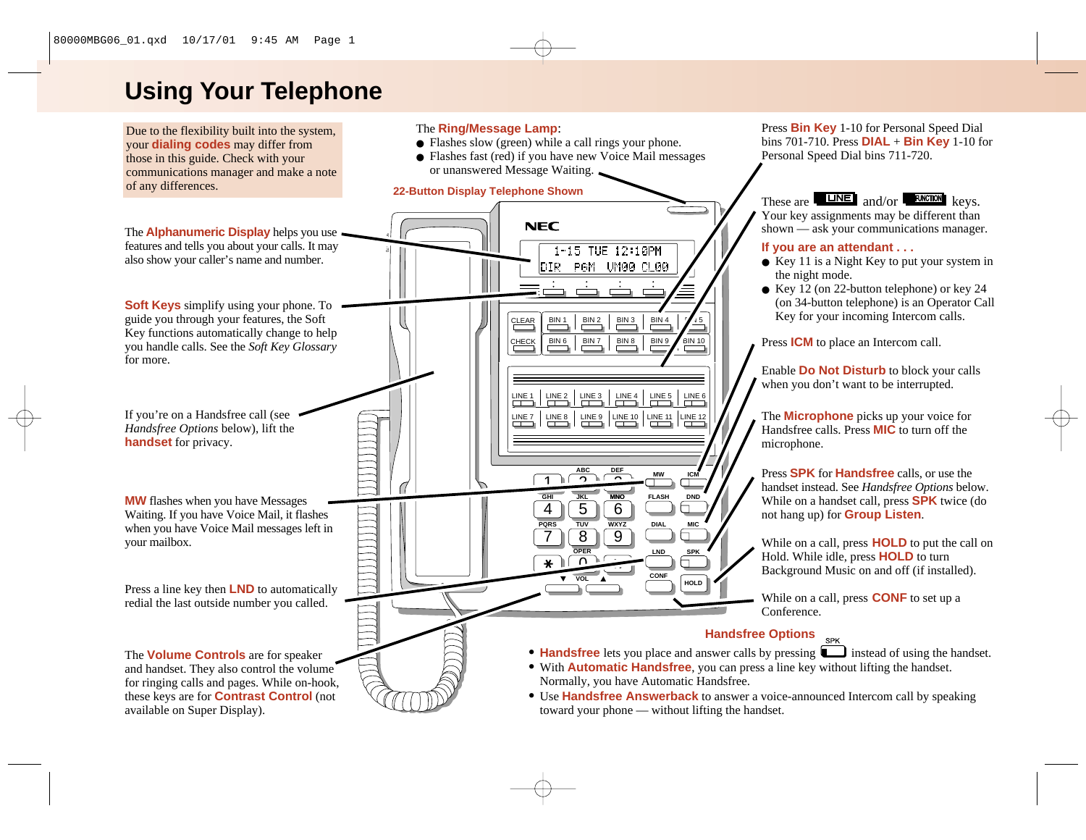# **Using Your Telephone**

Due to the flexibility built into the system, your **dialing codes** may differ from those in this guide. Check with your communications manager and make a note of any differences.

The **Alphanumeric Display** helps you use features and tells you about your calls. It may also show your caller's name and number.

**Soft Keys** simplify using your phone. To guide you through your features, the Soft Key functions automatically change to help you handle calls. See the *Soft Key Glossary* for more.

If you're on a Handsfree call (see *Handsfree Options* below), lift the **handset** for privacy.

**MW** flashes when you have Messages Waiting. If you have Voice Mail, it flashes when you have Voice Mail messages left in your mailbox.

Press a line key then **LND** to automatically

The **Volume Controls** are for speaker and handset. They also control the volume for ringing calls and pages. While on-hook, these keys are for **Contrast Control** (not available on Super Display).

#### The **Ring/Message Lamp**:

- Flashes slow (green) while a call rings your phone.
- Flashes fast (red) if you have new Voice Mail messages or unanswered Message Waiting.

#### **22-Button Display Telephone Shown**



Press **Bin Key** 1-10 for Personal Speed Dial bins 701-710. Press **DIAL** <sup>+</sup>**Bin Key** 1-10 for Personal Speed Dial bins 711-720.

## These are and/or keys.

Your key assignments may be different than shown — ask your communications manager.

#### **If you are an attendant . . .**

- Key 11 is a Night Key to put your system in the night mode.
- Key 12 (on 22-button telephone) or key 24 (on 34-button telephone) is an Operator Call Key for your incoming Intercom calls.

Press **ICM** to place an Intercom call.

Enable **Do Not Disturb** to block your calls when you don't want to be interrupted.

The **Microphone** picks up your voice for Handsfree calls. Press **MIC** to turn off the microphone.

Press **SPK** for **Handsfree** calls, or use the handset instead. See *Handsfree Options* below. While on a handset call, press **SPK** twice (do not hang up) for **Group Listen**.

While on a call, press **HOLD** to put the call on Hold. While idle, press **HOLD** to turn Background Music on and off (if installed).

#### **Handsfree Options**

- **Handsfree** lets you place and answer calls by pressing **instead of using the handset.**
- With **Automatic Handsfree**, you can press a line key without lifting the handset.
- Use **Handsfree Answerback** to answer a voice-announced Intercom call by speaking toward your phone — without lifting the handset.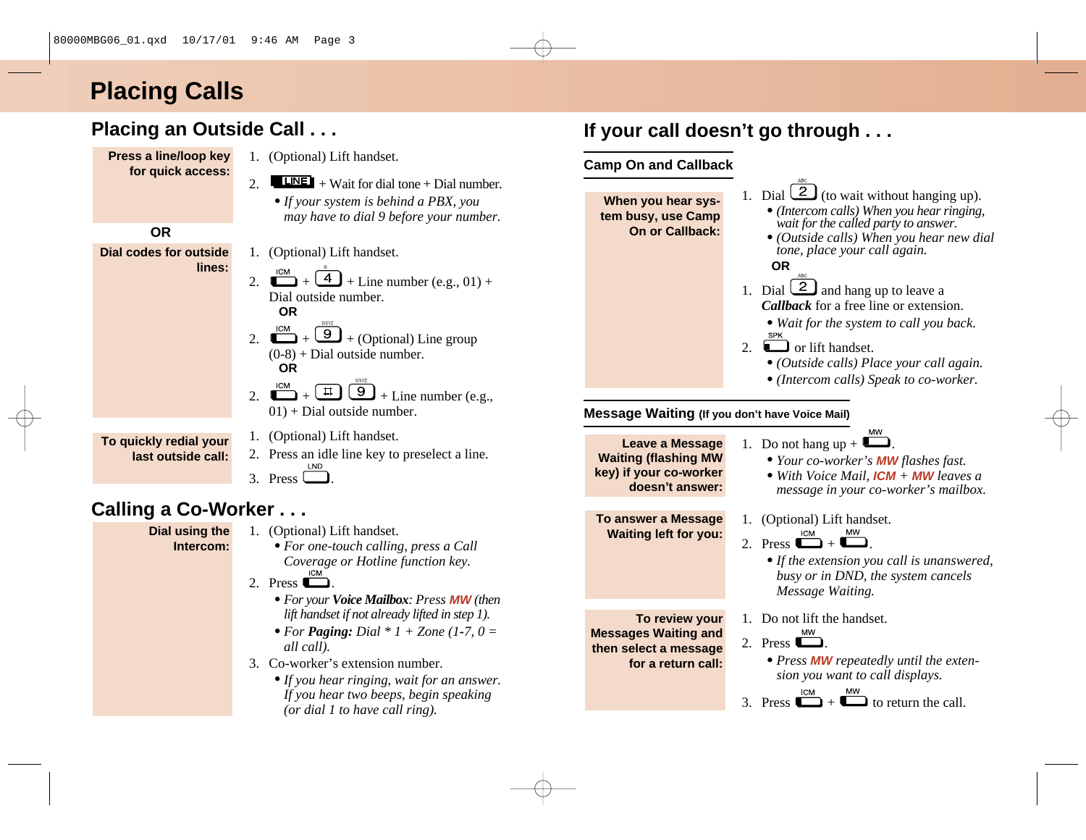# **Placing Calls**

## **Placing an Outside Call . . .**

**Press a line/loop key for quick access:** 1. (Optional) Lift handset.

1. (Optional) Lift handset.

Dial outside number.

**OR**

**OR**

- 2. + Wait for dial tone + Dial number. *•If your system is behind a PBX, you*
	- *may have to dial 9 before your number.*

2.  $\overline{+4}$  +  $\overline{4}$  + Line number (e.g., 01) +

2.  $\overline{+9}$  +  $\overline{9}$  + (Optional) Line group  $(0-8)$  + Dial outside number.

2.  $\Box$  +  $\Box$   $\Box$  + Line number (e.g.,

# **OR**

**Dial codes for outside lines:**

**To quickly redial your last outside call:**

1. (Optional) Lift handset.

 $01$  + Dial outside number.

2. Press an idle line key to preselect a line. 3. Press  $\Box$ 

# **Calling a Co-Worker . . .**

**Dial using the Intercom:**

- 1. (Optional) Lift handset.
	- *• For one-touch calling, press a Call Coverage or Hotline function key.*
- 2. Press  $\Box$ 
	- *• For your Voice Mailbox: Press* **MW** *(then lift handset if not already lifted in step 1).*
	- *• For Paging: Dial \* 1 + Zone (1-7, 0 = all call).*
- 3. Co-worker's extension number.
	- *•If you hear ringing, wait for an answer. If you hear two beeps, begin speaking (or dial 1 to have call ring).*

# **If your call doesn't go through . . .**

## **Camp On and Callback**

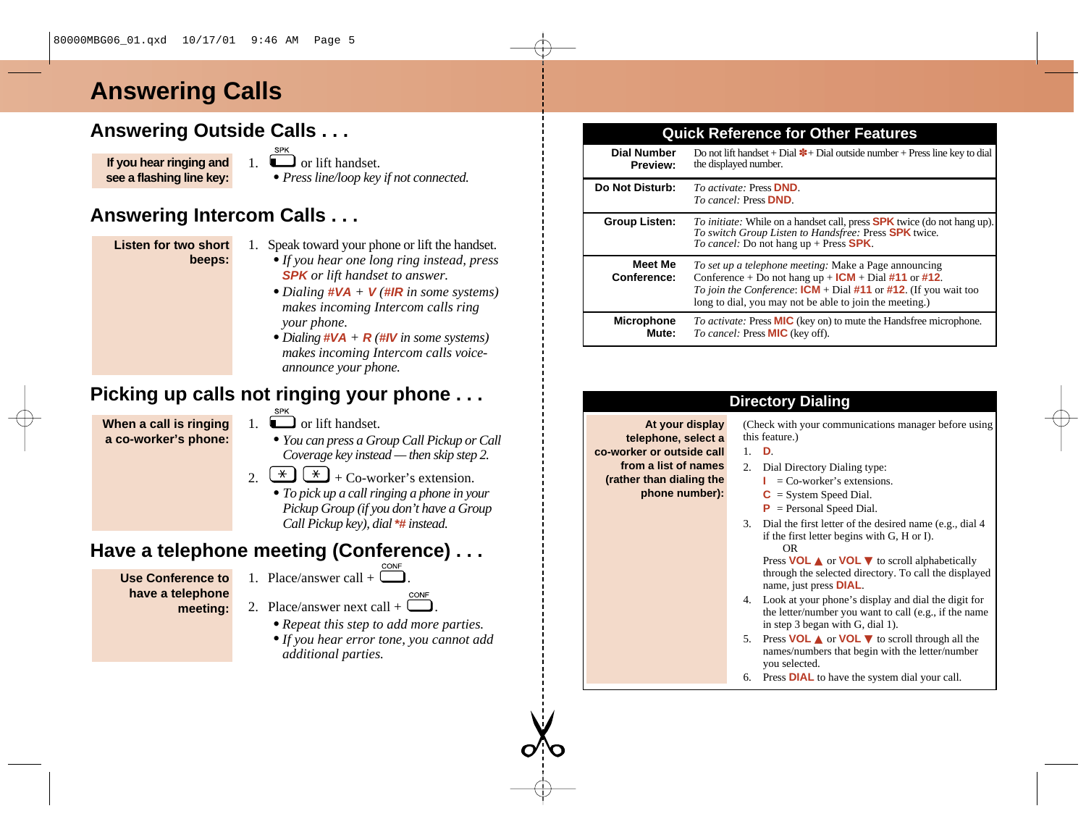# **Answering Calls**

## **Answering Outside Calls . . .**

**If you hear ringing and see a flashing line key:** 1.  $\Box$  or lift handset. *• Press line/loop key if not connected.*

## **Answering Intercom Calls . . .**

#### **Listen for two short beeps:**

- 1. Speak toward your phone or lift the handset.
	- *•If you hear one long ring instead, press* **SPK** *or lift handset to answer.*
	- *• Dialing* **#VA** *<sup>+</sup>* **V** *(***#IR** *in some systems) makes incoming Intercom calls ring your phone.*
	- *• Dialing* **#VA** *<sup>+</sup>* **R** *(***#IV** *in some systems) makes incoming Intercom calls voiceannounce your phone.*

## **Picking up calls not ringing your phone . . .**

**When a call is ringing a co-worker's phone:**

- 1.  $\sum_{n=1}^{\text{SPK}}$  or lift handset.
	- *• You can press a Group Call Pickup or Call Coverage key instead — then skip step 2.*
- $2 \left(\frac{\ast}{\cdot}\right) \left(\frac{\ast}{\cdot}\right) + \text{Co-worker's extension.}$ 
	- *• To pick up a call ringing a phone in your Pickup Group (if you don't have a Group Call Pickup key), dial* **\*#** *instead.*

# **Have a telephone meeting (Conference) . . .**

- **Use Conference to have a telephone meeting:**
- 1. Place/answer call +  $\overline{\phantom{a}}$ .
- 2. Place/answer next call +
	- *• Repeat this step to add more parties.*
	- *•If you hear error tone, you cannot add additional parties.*

## **Quick Reference for Other Features**

| <b>Dial Number</b><br><b>Preview:</b> | Do not lift handset + Dial $*$ + Dial outside number + Press line key to dial<br>the displayed number.                                                                                                                                          |
|---------------------------------------|-------------------------------------------------------------------------------------------------------------------------------------------------------------------------------------------------------------------------------------------------|
| Do Not Disturb:                       | <i>To activate:</i> Press <b>DND</b> .<br><i>To cancel:</i> Press <b>DND</b> .                                                                                                                                                                  |
| Group Listen:                         | <i>To initiate:</i> While on a handset call, press <b>SPK</b> twice (do not hang up).<br>To switch Group Listen to Handsfree: Press <b>SPK</b> twice.<br>To cancel: Do not hang $up + Press$ <b>SPK</b> .                                       |
| <b>Meet Me</b><br>Conference:         | To set up a telephone meeting: Make a Page announcing<br>Conference + Do not hang $up + ICM + Dial #11$ or #12.<br>To join the Conference: $ICM + Dial #11$ or #12. (If you wait too<br>long to dial, you may not be able to join the meeting.) |
| <b>Microphone</b><br>Mute:            | <i>To activate:</i> Press <b>MIC</b> (key on) to mute the Handsfree microphone.<br><i>To cancel:</i> Press <b>MIC</b> (key off).                                                                                                                |

|                                                                                                                                           | <b>Directory Dialing</b>                                                                                                                                                                                                                                                                                                                                                                                                                                                                                                                                                                                                                                                                                                                                                                                                                                                                                          |
|-------------------------------------------------------------------------------------------------------------------------------------------|-------------------------------------------------------------------------------------------------------------------------------------------------------------------------------------------------------------------------------------------------------------------------------------------------------------------------------------------------------------------------------------------------------------------------------------------------------------------------------------------------------------------------------------------------------------------------------------------------------------------------------------------------------------------------------------------------------------------------------------------------------------------------------------------------------------------------------------------------------------------------------------------------------------------|
| At your display<br>telephone, select a<br>co-worker or outside call<br>from a list of names<br>(rather than dialing the<br>phone number): | (Check with your communications manager before using<br>this feature.)<br>D.<br>1<br>2.<br>Dial Directory Dialing type:<br>$=$ Co-worker's extensions.<br>$C = System Speed Dial.$<br>$P =$ Personal Speed Dial.<br>3. Dial the first letter of the desired name (e.g., dial 4)<br>if the first letter begins with G, H or I).<br>OR.<br>Press <b>VOL</b> $\triangle$ or <b>VOL</b> $\triangledown$ to scroll alphabetically<br>through the selected directory. To call the displayed<br>name, just press <b>DIAL</b> .<br>Look at your phone's display and dial the digit for<br>4.<br>the letter/number you want to call (e.g., if the name<br>in step 3 began with G, dial 1).<br>Press <b>VOL</b> $\triangle$ or <b>VOL</b> $\triangledown$ to scroll through all the<br>5.<br>names/numbers that begin with the letter/number<br>you selected.<br>Press <b>DIAL</b> to have the system dial your call.<br>6. |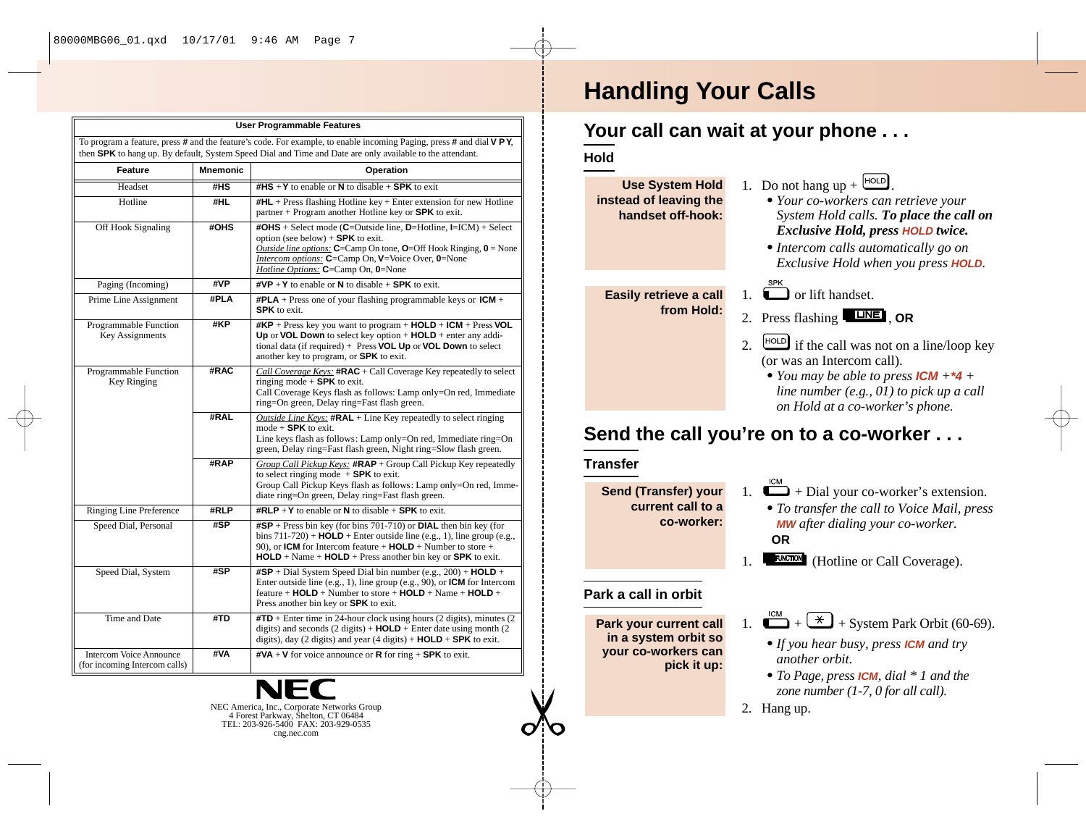| <b>User Programmable Features</b>                                                                                                                                                                                                |                 |                                                                                                                                                                                                                                                                                                                         |  |  |  |  |  |  |
|----------------------------------------------------------------------------------------------------------------------------------------------------------------------------------------------------------------------------------|-----------------|-------------------------------------------------------------------------------------------------------------------------------------------------------------------------------------------------------------------------------------------------------------------------------------------------------------------------|--|--|--|--|--|--|
| To program a feature, press # and the feature's code. For example, to enable incoming Paging, press # and dial VPY,<br>then SPK to hang up. By default, System Speed Dial and Time and Date are only available to the attendant. |                 |                                                                                                                                                                                                                                                                                                                         |  |  |  |  |  |  |
| Feature                                                                                                                                                                                                                          | <b>Mnemonic</b> | Operation                                                                                                                                                                                                                                                                                                               |  |  |  |  |  |  |
| Headset                                                                                                                                                                                                                          | #HS             | $\#HS + Y$ to enable or N to disable $+$ SPK to exit                                                                                                                                                                                                                                                                    |  |  |  |  |  |  |
| Hotline                                                                                                                                                                                                                          | #HL             | $\#HL$ + Press flashing Hotline key + Enter extension for new Hotline<br>$partner + Program$ another Hotline key or SPK to exit.                                                                                                                                                                                        |  |  |  |  |  |  |
| Off Hook Signaling                                                                                                                                                                                                               | #OHS            | #OHS + Select mode (C=Outside line, D=Hotline, I=ICM) + Select<br>option (see below) $+$ SPK to exit.<br><i>Outside line options:</i> $C = Camp On tone, O = Off Hook Ringing, O = None$<br><i>Intercom options:</i> C=Camp On, V=Voice Over, 0=None<br>Hotline Options: C=Camp On, 0=None                              |  |  |  |  |  |  |
| Paging (Incoming)                                                                                                                                                                                                                | #VP             | $\textsf{\#VP} + \textsf{Y}$ to enable or <b>N</b> to disable + <b>SPK</b> to exit.                                                                                                                                                                                                                                     |  |  |  |  |  |  |
| Prime Line Assignment                                                                                                                                                                                                            | #PLA            | <b>#PLA</b> + Press one of your flashing programmable keys or $ICM +$<br><b>SPK</b> to exit.                                                                                                                                                                                                                            |  |  |  |  |  |  |
| Programmable Function<br>Key Assignments                                                                                                                                                                                         | #KP             | $\#KP$ + Press key you want to program + HOLD + ICM + Press VOL<br>Up or VOL Down to select key option $+$ HOLD $+$ enter any addi-<br>tional data (if required) $+$ Press VOL Up or VOL Down to select<br>another key to program, or <b>SPK</b> to exit.                                                               |  |  |  |  |  |  |
| Programmable Function<br>Key Ringing                                                                                                                                                                                             | #RAC            | Call Coverage Keys: $\#RAC +$ Call Coverage Key repeatedly to select<br>ringing mode $+$ SPK to exit.<br>Call Coverage Keys flash as follows: Lamp only=On red, Immediate<br>ring=On green, Delay ring=Fast flash green.                                                                                                |  |  |  |  |  |  |
|                                                                                                                                                                                                                                  | #RAL            | <i>Outside Line Keys:</i> $\text{#RAL}$ + Line Key repeatedly to select ringing<br>mode $+$ SPK to exit.<br>Line keys flash as follows: Lamp only=On red, Immediate ring=On<br>green, Delay ring=Fast flash green, Night ring=Slow flash green.                                                                         |  |  |  |  |  |  |
|                                                                                                                                                                                                                                  | #RAP            | Group Call Pickup Keys: $\#RAP +$ Group Call Pickup Key repeatedly<br>to select ringing mode $+$ <b>SPK</b> to exit.<br>Group Call Pickup Keys flash as follows: Lamp only=On red, Imme-<br>diate ring=On green, Delay ring=Fast flash green.                                                                           |  |  |  |  |  |  |
| <b>Ringing Line Preference</b>                                                                                                                                                                                                   | #RLP            | <b>#RLP</b> + Y to enable or N to disable + SPK to exit.                                                                                                                                                                                                                                                                |  |  |  |  |  |  |
| Speed Dial, Personal                                                                                                                                                                                                             | #SP             | $\textsf{#SP}$ + Press bin key (for bins 701-710) or <b>DIAL</b> then bin key (for<br>bins $711-720$ ) + <b>HOLD</b> + Enter outside line (e.g., 1), line group (e.g.,<br>90), or <b>ICM</b> for Intercom feature $+$ <b>HOLD</b> + Number to store $+$<br>$HOLD + Name + HOLD + Press$ another bin key or SPK to exit. |  |  |  |  |  |  |
| Speed Dial, System                                                                                                                                                                                                               | #SP             | $\textsf{#SP}$ + Dial System Speed Dial bin number (e.g., 200) + <b>HOLD</b> +<br>Enter outside line (e.g., 1), line group (e.g., 90), or <b>ICM</b> for Intercom<br>feature + $HOLD$ + Number to store + $HOLD$ + Name + $HOLD$ +<br>Press another bin key or <b>SPK</b> to exit.                                      |  |  |  |  |  |  |
| Time and Date                                                                                                                                                                                                                    | #TD             | $\text{HTD}$ + Enter time in 24-hour clock using hours (2 digits), minutes (2)<br>digits) and seconds $(2 \text{ digits}) + \text{HOLD} + \text{Enter date using month } (2)$<br>digits), day (2 digits) and year (4 digits) $+$ <b>HOLD</b> $+$ <b>SPK</b> to exit.                                                    |  |  |  |  |  |  |
| <b>Intercom Voice Announce</b><br>(for incoming Intercom calls)                                                                                                                                                                  | #VA             | $\textsf{\#VA} + \textsf{V}$ for voice announce or <b>R</b> for ring $+$ <b>SPK</b> to exit.                                                                                                                                                                                                                            |  |  |  |  |  |  |



# **Handling Your Calls**

## **Your call can wait at your phone . . .**

**Hold**

#### 1. Do not hang  $up + \frac{HOLD}{L}$ *• Your co-workers can retrieve your System Hold calls. To place the call on Exclusive Hold, press* **HOLD** *twice. •Intercom calls automatically go on Exclusive Hold when you press* **HOLD***.*  $\Box$  or lift handset 2. Press flashing **LINE**, OR 2.  $\left[\frac{HOLD}{H} \right]$  if the call was not on a line/loop key (or was an Intercom call). *• You may be able to press* **ICM** *+***\*4** *+ line number (e.g., 01) to pick up a call on Hold at a co-worker's phone.* **Easily retrieve a call from Hold: Use System Hold instead of leaving the handset off-hook:**

# **Send the call you're on to a co-worker . . .**

## **Transfer**

**Send (Transfer) your current call to a co-worker:**

**Park a call in orbit**

**Park your current call in a system orbit so your co-workers can**

**pick it up:**

- 1.  $\Box$  + Dial your co-worker's extension.
	- *• To transfer the call to Voice Mail, press* **MW** *after dialing your co-worker.* **OR**
	- **FUNCTION** (Hotline or Call Coverage).
- $\sum_{n=1}^{\text{ICM}}$  +  $\left(\frac{1}{2}\right)$  + System Park Orbit (60-69).
	- *•If you hear busy, press* **ICM** *and try another orbit.*
	- *• To Page, press* **ICM***, dial \* 1 and the zone number (1-7, 0 for all call).*
- 2. Hang up.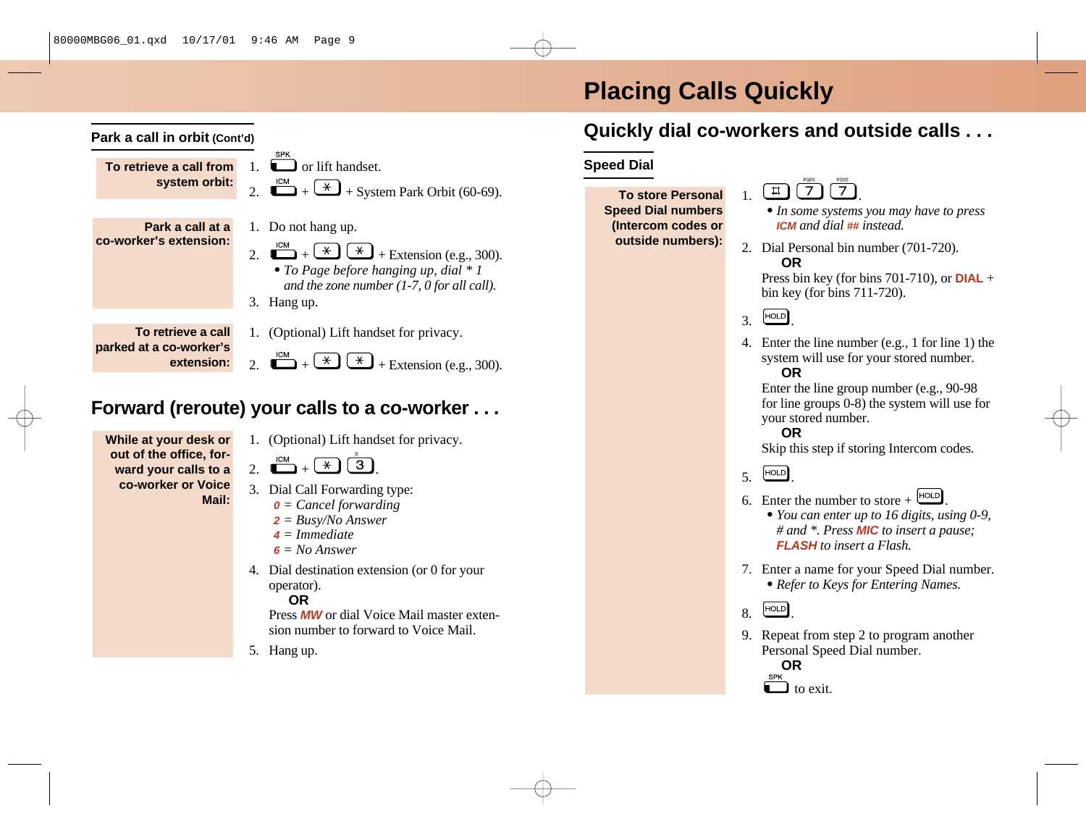# **Placing Calls Quickly**



- **<sup>2</sup>** *= Busy/No Answer*
- **4** *= Immediate*
- $6 = No$  *Answer*
- 4. Dial destination extension (or 0 for your operator).
	- **OR**

Press **MW** or dial Voice Mail master extension number to forward to Voice Mail.

5. Hang up.

## **Quickly dial co-workers and outside calls . . .**

- $\boxed{1}$   $\boxed{7}$   $\boxed{7}$ 
	- *•In some systems you may have to press* **ICM** *and dial* **##** *instead.*
- 2. Dial Personal bin number (701-720). **OR**

Press bin key (for bins 701-710), or **DIAL** + bin key (for bins 711-720).

- $3.$   $HOLD$
- 4. Enter the line number (e.g., 1 for line 1) the system will use for your stored number. **OR**

Enter the line group number (e.g., 90-98 for line groups 0-8) the system will use for your stored number.

## **OR**

Skip this step if storing Intercom codes.

- $5 \quad \text{[HOLD]}$
- 6. Enter the number to store  $+$   $\frac{[HOLD]}{[HOLD]}$

*• You can enter up to 16 digits, using 0-9, # and \*. Press* **MIC** *to insert a pause;* **FLASH** *to insert a Flash.*

7. Enter a name for your Speed Dial number. *• Refer to Keys for Entering Names.* 



9. Repeat from step 2 to program another Personal Speed Dial number.

**OR SPK**  $\Box$  to exit.